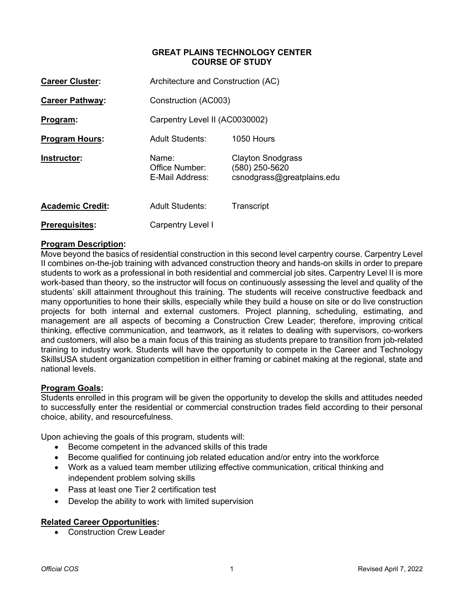## **GREAT PLAINS TECHNOLOGY CENTER COURSE OF STUDY**

| <b>Career Cluster:</b>  | Architecture and Construction (AC)         |                                                                          |
|-------------------------|--------------------------------------------|--------------------------------------------------------------------------|
| <b>Career Pathway:</b>  | Construction (AC003)                       |                                                                          |
| Program:                | Carpentry Level II (AC0030002)             |                                                                          |
| <b>Program Hours:</b>   | <b>Adult Students:</b>                     | $1050$ Hours                                                             |
| Instructor:             | Name:<br>Office Number:<br>E-Mail Address: | <b>Clayton Snodgrass</b><br>(580) 250-5620<br>csnodgrass@greatplains.edu |
| <b>Academic Credit:</b> | <b>Adult Students:</b>                     | Transcript                                                               |
| <b>Prerequisites:</b>   | Carpentry Level I                          |                                                                          |

## **Program Description:**

Move beyond the basics of residential construction in this second level carpentry course. Carpentry Level II combines on-the-job training with advanced construction theory and hands-on skills in order to prepare students to work as a professional in both residential and commercial job sites. Carpentry Level II is more work-based than theory, so the instructor will focus on continuously assessing the level and quality of the students' skill attainment throughout this training. The students will receive constructive feedback and many opportunities to hone their skills, especially while they build a house on site or do live construction projects for both internal and external customers. Project planning, scheduling, estimating, and management are all aspects of becoming a Construction Crew Leader; therefore, improving critical thinking, effective communication, and teamwork, as it relates to dealing with supervisors, co-workers and customers, will also be a main focus of this training as students prepare to transition from job-related training to industry work. Students will have the opportunity to compete in the Career and Technology SkillsUSA student organization competition in either framing or cabinet making at the regional, state and national levels.

### **Program Goals:**

Students enrolled in this program will be given the opportunity to develop the skills and attitudes needed to successfully enter the residential or commercial construction trades field according to their personal choice, ability, and resourcefulness.

Upon achieving the goals of this program, students will:

- Become competent in the advanced skills of this trade
- Become qualified for continuing job related education and/or entry into the workforce
- Work as a valued team member utilizing effective communication, critical thinking and independent problem solving skills
- Pass at least one Tier 2 certification test
- Develop the ability to work with limited supervision

## **Related Career Opportunities:**

• Construction Crew Leader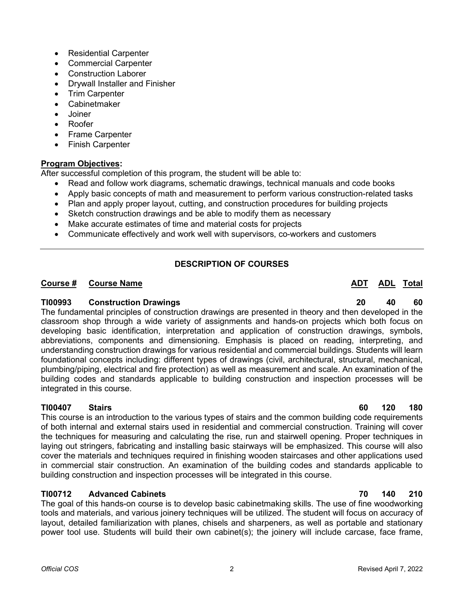- Residential Carpenter
- Commercial Carpenter
- Construction Laborer
- Drywall Installer and Finisher
- Trim Carpenter
- **Cabinetmaker**
- Joiner
- Roofer
- Frame Carpenter
- Finish Carpenter

# **Program Objectives:**

After successful completion of this program, the student will be able to:

- Read and follow work diagrams, schematic drawings, technical manuals and code books
- Apply basic concepts of math and measurement to perform various construction-related tasks
- Plan and apply proper layout, cutting, and construction procedures for building projects
- Sketch construction drawings and be able to modify them as necessary
- Make accurate estimates of time and material costs for projects
- Communicate effectively and work well with supervisors, co-workers and customers

# **DESCRIPTION OF COURSES**

# **Course # Course Name ADT ADL ADL ADL ADL ADL ADL ADL ADL ADL ADL ADL**

## **TI00993 Construction Drawings 20 40 60**

The fundamental principles of construction drawings are presented in theory and then developed in the classroom shop through a wide variety of assignments and hands-on projects which both focus on developing basic identification, interpretation and application of construction drawings, symbols, abbreviations, components and dimensioning. Emphasis is placed on reading, interpreting, and understanding construction drawings for various residential and commercial buildings. Students will learn foundational concepts including: different types of drawings (civil, architectural, structural, mechanical, plumbing/piping, electrical and fire protection) as well as measurement and scale. An examination of the building codes and standards applicable to building construction and inspection processes will be integrated in this course.

# **TI00407 Stairs 60 120 180**

This course is an introduction to the various types of stairs and the common building code requirements of both internal and external stairs used in residential and commercial construction. Training will cover the techniques for measuring and calculating the rise, run and stairwell opening. Proper techniques in laying out stringers, fabricating and installing basic stairways will be emphasized. This course will also cover the materials and techniques required in finishing wooden staircases and other applications used in commercial stair construction. An examination of the building codes and standards applicable to building construction and inspection processes will be integrated in this course.

# **TI00712 Advanced Cabinets 70 140 210**

The goal of this hands-on course is to develop basic cabinetmaking skills. The use of fine woodworking tools and materials, and various joinery techniques will be utilized. The student will focus on accuracy of layout, detailed familiarization with planes, chisels and sharpeners, as well as portable and stationary power tool use. Students will build their own cabinet(s); the joinery will include carcase, face frame,

#### *Official COS* 2 Revised April 7, 2022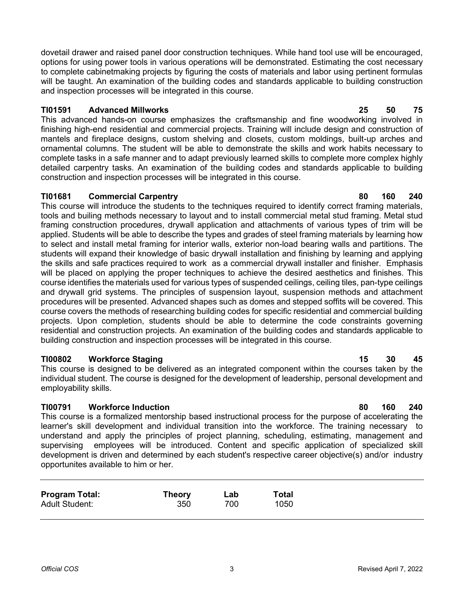dovetail drawer and raised panel door construction techniques. While hand tool use will be encouraged, options for using power tools in various operations will be demonstrated. Estimating the cost necessary to complete cabinetmaking projects by figuring the costs of materials and labor using pertinent formulas will be taught. An examination of the building codes and standards applicable to building construction and inspection processes will be integrated in this course.

## **TI01591 Advanced Millworks 25 50 75**

This advanced hands-on course emphasizes the craftsmanship and fine woodworking involved in finishing high-end residential and commercial projects. Training will include design and construction of mantels and fireplace designs, custom shelving and closets, custom moldings, built-up arches and ornamental columns. The student will be able to demonstrate the skills and work habits necessary to complete tasks in a safe manner and to adapt previously learned skills to complete more complex highly detailed carpentry tasks. An examination of the building codes and standards applicable to building construction and inspection processes will be integrated in this course.

# **TI01681 Commercial Carpentry 80 160 240**

This course will introduce the students to the techniques required to identify correct framing materials, tools and builing methods necessary to layout and to install commercial metal stud framing. Metal stud framing construction procedures, drywall application and attachments of various types of trim will be applied. Students will be able to describe the types and grades of steel framing materials by learning how to select and install metal framing for interior walls, exterior non-load bearing walls and partitions. The students will expand their knowledge of basic drywall installation and finishing by learning and applying the skills and safe practices required to work as a commercial drywall installer and finisher. Emphasis will be placed on applying the proper techniques to achieve the desired aesthetics and finishes. This course identifies the materials used for various types of suspended ceilings, ceiling tiles, pan-type ceilings and drywall grid systems. The principles of suspension layout, suspension methods and attachment procedures will be presented. Advanced shapes such as domes and stepped soffits will be covered. This course covers the methods of researching building codes for specific residential and commercial building projects. Upon completion, students should be able to determine the code constraints governing residential and construction projects. An examination of the building codes and standards applicable to building construction and inspection processes will be integrated in this course.

# **TI00802 Workforce Staging 15 30 45**

This course is designed to be delivered as an integrated component within the courses taken by the individual student. The course is designed for the development of leadership, personal development and employability skills.

# **TI00791 Workforce Induction 80 160 240**

This course is a formalized mentorship based instructional process for the purpose of accelerating the learner's skill development and individual transition into the workforce. The training necessary to understand and apply the principles of project planning, scheduling, estimating, management and supervising employees will be introduced. Content and specific application of specialized skill development is driven and determined by each student's respective career objective(s) and/or industry opportunites available to him or her.

| <b>Program Total:</b> | <b>Theory</b> | Lab | Total |
|-----------------------|---------------|-----|-------|
| <b>Adult Student:</b> | 350           | 700 | 1050  |
|                       |               |     |       |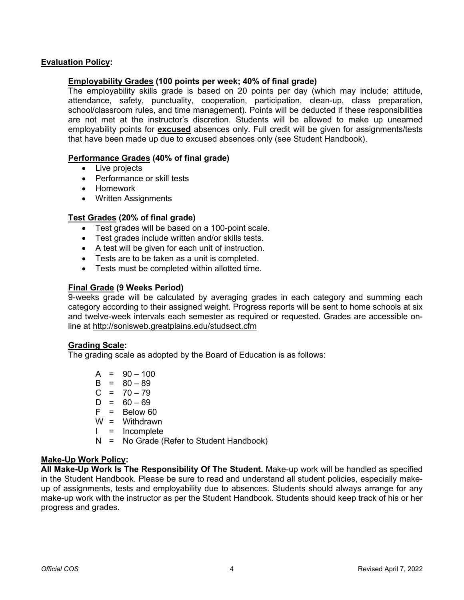## **Evaluation Policy:**

## **Employability Grades (100 points per week; 40% of final grade)**

The employability skills grade is based on 20 points per day (which may include: attitude, attendance, safety, punctuality, cooperation, participation, clean-up, class preparation, school/classroom rules, and time management). Points will be deducted if these responsibilities are not met at the instructor's discretion. Students will be allowed to make up unearned employability points for **excused** absences only. Full credit will be given for assignments/tests that have been made up due to excused absences only (see Student Handbook).

## **Performance Grades (40% of final grade)**

- Live projects
- Performance or skill tests
- Homework
- Written Assignments

## **Test Grades (20% of final grade)**

- Test grades will be based on a 100-point scale.
- Test grades include written and/or skills tests.
- A test will be given for each unit of instruction.
- Tests are to be taken as a unit is completed.
- Tests must be completed within allotted time.

## **Final Grade (9 Weeks Period)**

9-weeks grade will be calculated by averaging grades in each category and summing each category according to their assigned weight. Progress reports will be sent to home schools at six and twelve-week intervals each semester as required or requested. Grades are accessible online at<http://sonisweb.greatplains.edu/studsect.cfm>

### **Grading Scale:**

The grading scale as adopted by the Board of Education is as follows:

 $A = 90 - 100$  $B = 80 - 89$  $C = 70 - 79$  $D = 60 - 69$  $F = Below 60$ W = Withdrawn  $I = Incomplete$ N = No Grade (Refer to Student Handbook)

### **Make-Up Work Policy:**

**All Make-Up Work Is The Responsibility Of The Student.** Make-up work will be handled as specified in the Student Handbook. Please be sure to read and understand all student policies, especially makeup of assignments, tests and employability due to absences. Students should always arrange for any make-up work with the instructor as per the Student Handbook. Students should keep track of his or her progress and grades.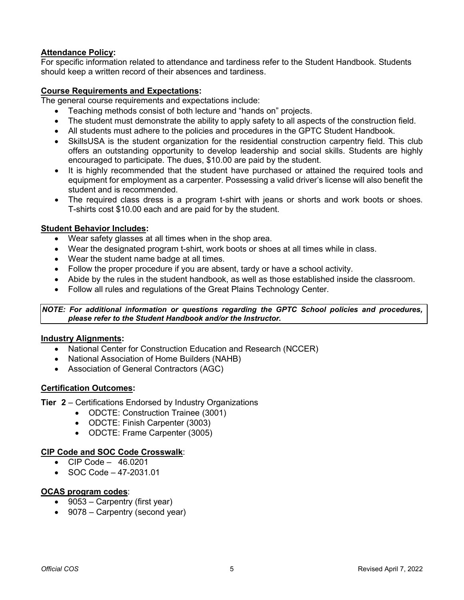# **Attendance Policy:**

For specific information related to attendance and tardiness refer to the Student Handbook. Students should keep a written record of their absences and tardiness.

## **Course Requirements and Expectations:**

The general course requirements and expectations include:

- Teaching methods consist of both lecture and "hands on" projects.
- The student must demonstrate the ability to apply safety to all aspects of the construction field.
- All students must adhere to the policies and procedures in the GPTC Student Handbook.
- SkillsUSA is the student organization for the residential construction carpentry field. This club offers an outstanding opportunity to develop leadership and social skills. Students are highly encouraged to participate. The dues, \$10.00 are paid by the student.
- It is highly recommended that the student have purchased or attained the required tools and equipment for employment as a carpenter. Possessing a valid driver's license will also benefit the student and is recommended.
- The required class dress is a program t-shirt with jeans or shorts and work boots or shoes. T-shirts cost \$10.00 each and are paid for by the student.

## **Student Behavior Includes:**

- Wear safety glasses at all times when in the shop area.
- Wear the designated program t-shirt, work boots or shoes at all times while in class.
- Wear the student name badge at all times.
- Follow the proper procedure if you are absent, tardy or have a school activity.
- Abide by the rules in the student handbook, as well as those established inside the classroom.
- Follow all rules and regulations of the Great Plains Technology Center.

*NOTE: For additional information or questions regarding the GPTC School policies and procedures, please refer to the Student Handbook and/or the Instructor.*

## **Industry Alignments:**

- National Center for Construction Education and Research (NCCER)
- National Association of Home Builders (NAHB)
- Association of General Contractors (AGC)

### **Certification Outcomes:**

- **Tier 2** Certifications Endorsed by Industry Organizations
	- ODCTE: Construction Trainee (3001)
	- ODCTE: Finish Carpenter (3003)
	- ODCTE: Frame Carpenter (3005)

### **CIP Code and SOC Code Crosswalk**:

- CIP Code 46.0201
- SOC Code  $-47-2031.01$

### **OCAS program codes**:

- 9053 Carpentry (first year)
- 9078 Carpentry (second year)